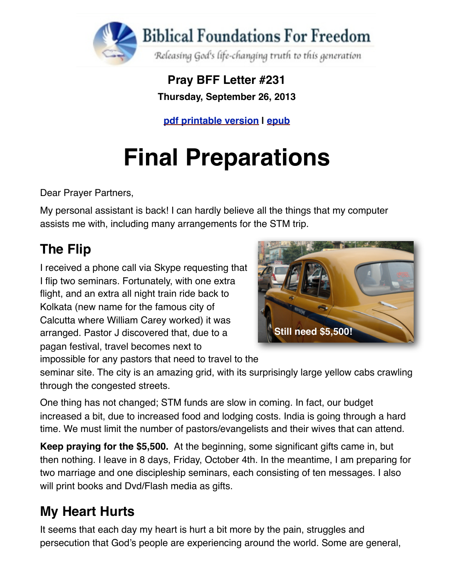

**Pray BFF Letter #231 Thursday, September 26, 2013**

**[pdf printable version](https://dl.dropboxusercontent.com/u/29845818/PrayBFF_230.pdf) | [epub](http://www.foundationsforfreedom.net/Help/TeamsF/Pray/Archives/Pray2013/pdf/PrayBFF231.epub)**

# **Final Preparations**

Dear Prayer Partners,

My personal assistant is back! I can hardly believe all the things that my computer assists me with, including many arrangements for the STM trip.

# **The Flip**

I received a phone call via Skype requesting that I flip two seminars. Fortunately, with one extra flight, and an extra all night train ride back to Kolkata (new name for the famous city of Calcutta where William Carey worked) it was arranged. Pastor J discovered that, due to a pagan festival, travel becomes next to impossible for any pastors that need to travel to the



seminar site. The city is an amazing grid, with its surprisingly large yellow cabs crawling through the congested streets.

One thing has not changed; STM funds are slow in coming. In fact, our budget increased a bit, due to increased food and lodging costs. India is going through a hard time. We must limit the number of pastors/evangelists and their wives that can attend.

**Keep praying for the \$5,500.** At the beginning, some significant gifts came in, but then nothing. I leave in 8 days, Friday, October 4th. In the meantime, I am preparing for two marriage and one discipleship seminars, each consisting of ten messages. I also will print books and Dvd/Flash media as gifts.

## **My Heart Hurts**

It seems that each day my heart is hurt a bit more by the pain, struggles and persecution that God's people are experiencing around the world. Some are general,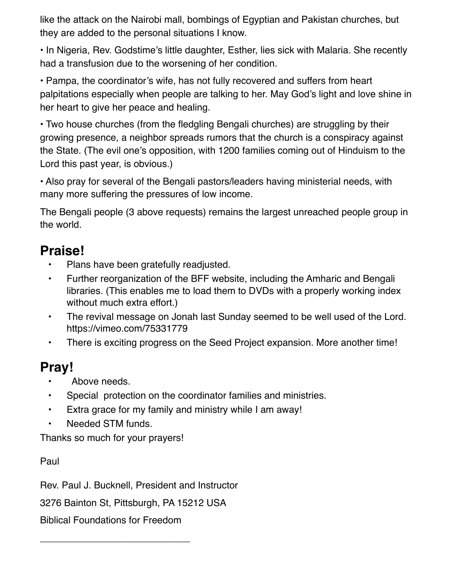like the attack on the Nairobi mall, bombings of Egyptian and Pakistan churches, but they are added to the personal situations I know.

• In Nigeria, Rev. Godstime's little daughter, Esther, lies sick with Malaria. She recently had a transfusion due to the worsening of her condition.

• Pampa, the coordinator's wife, has not fully recovered and suffers from heart palpitations especially when people are talking to her. May God's light and love shine in her heart to give her peace and healing.

• Two house churches (from the fledgling Bengali churches) are struggling by their growing presence, a neighbor spreads rumors that the church is a conspiracy against the State. (The evil one's opposition, with 1200 families coming out of Hinduism to the Lord this past year, is obvious.)

• Also pray for several of the Bengali pastors/leaders having ministerial needs, with many more suffering the pressures of low income.

The Bengali people (3 above requests) remains the largest unreached people group in the world.

## **Praise!**

- Plans have been gratefully readjusted.
- Further reorganization of the BFF website, including the Amharic and Bengali libraries. (This enables me to load them to DVDs with a properly working index without much extra effort.)
- The [revival message on Jonah](https://vimeo.com/75331779) last Sunday seemed to be well used of the Lord. <https://vimeo.com/75331779>
- There is exciting progress on the Seed Project expansion. More another time!

### **Pray!**

- Above needs.
- Special protection on the coordinator families and ministries.
- Extra grace for my family and ministry while I am away!
- Needed STM funds.

Thanks so much for your prayers!

Paul

Rev. Paul J. Bucknell, President and Instructor

3276 Bainton St, Pittsburgh, PA 15212 USA

Biblical Foundations for Freedom

\_\_\_\_\_\_\_\_\_\_\_\_\_\_\_\_\_\_\_\_\_\_\_\_\_\_\_\_